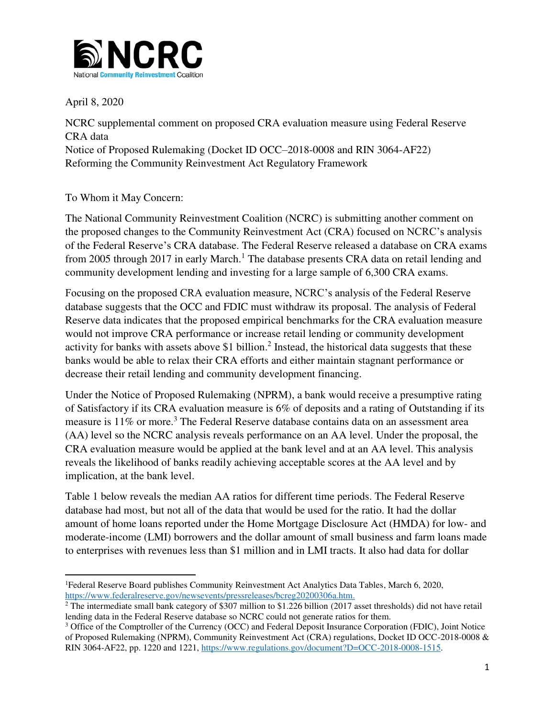

April 8, 2020

l

NCRC supplemental comment on proposed CRA evaluation measure using Federal Reserve CRA data Notice of Proposed Rulemaking (Docket ID OCC–2018-0008 and RIN 3064-AF22) Reforming the Community Reinvestment Act Regulatory Framework

To Whom it May Concern:

The National Community Reinvestment Coalition (NCRC) is submitting another comment on the proposed changes to the Community Reinvestment Act (CRA) focused on NCRC's analysis of the Federal Reserve's CRA database. The Federal Reserve released a database on CRA exams from 2005 through 2017 in early March.<sup>1</sup> The database presents CRA data on retail lending and community development lending and investing for a large sample of 6,300 CRA exams.

Focusing on the proposed CRA evaluation measure, NCRC's analysis of the Federal Reserve database suggests that the OCC and FDIC must withdraw its proposal. The analysis of Federal Reserve data indicates that the proposed empirical benchmarks for the CRA evaluation measure would not improve CRA performance or increase retail lending or community development activity for banks with assets above \$1 billion.<sup>2</sup> Instead, the historical data suggests that these banks would be able to relax their CRA efforts and either maintain stagnant performance or decrease their retail lending and community development financing.

Under the Notice of Proposed Rulemaking (NPRM), a bank would receive a presumptive rating of Satisfactory if its CRA evaluation measure is 6% of deposits and a rating of Outstanding if its measure is 11% or more.<sup>3</sup> The Federal Reserve database contains data on an assessment area (AA) level so the NCRC analysis reveals performance on an AA level. Under the proposal, the CRA evaluation measure would be applied at the bank level and at an AA level. This analysis reveals the likelihood of banks readily achieving acceptable scores at the AA level and by implication, at the bank level.

Table 1 below reveals the median AA ratios for different time periods. The Federal Reserve database had most, but not all of the data that would be used for the ratio. It had the dollar amount of home loans reported under the Home Mortgage Disclosure Act (HMDA) for low- and moderate-income (LMI) borrowers and the dollar amount of small business and farm loans made to enterprises with revenues less than \$1 million and in LMI tracts. It also had data for dollar

<sup>1</sup>Federal Reserve Board publishes Community Reinvestment Act Analytics Data Tables, March 6, 2020, [https://www.federalreserve.gov/newsevents/pressreleases/bcreg20200306a.htm.](https://www.federalreserve.gov/newsevents/pressreleases/bcreg20200306a.htm) 

 $2$  The intermediate small bank category of \$307 million to \$1.226 billion (2017 asset thresholds) did not have retail lending data in the Federal Reserve database so NCRC could not generate ratios for them.

<sup>&</sup>lt;sup>3</sup> Office of the Comptroller of the Currency (OCC) and Federal Deposit Insurance Corporation (FDIC), Joint Notice of Proposed Rulemaking (NPRM), Community Reinvestment Act (CRA) regulations, Docket ID OCC-2018-0008 & RIN 3064-AF22, pp. 1220 and 1221, [https://www.regulations.gov/document?D=OCC-2018-0008-1515.](https://www.regulations.gov/document?D=OCC-2018-0008-1515)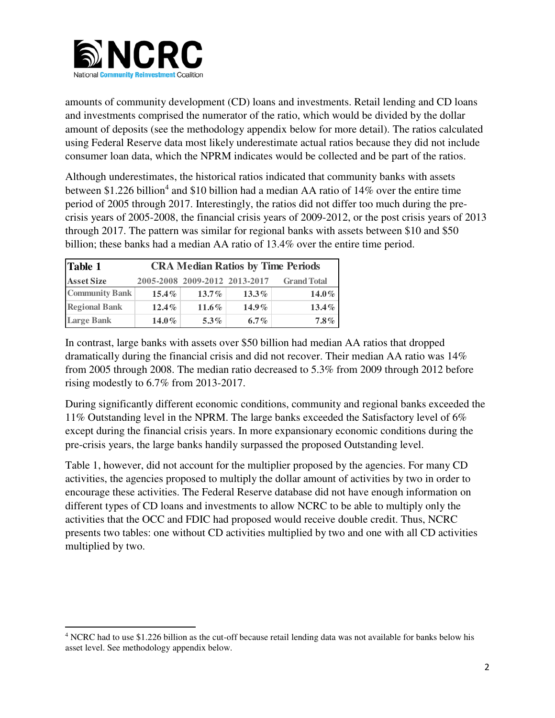

 $\overline{a}$ 

amounts of community development (CD) loans and investments. Retail lending and CD loans and investments comprised the numerator of the ratio, which would be divided by the dollar amount of deposits (see the methodology appendix below for more detail). The ratios calculated using Federal Reserve data most likely underestimate actual ratios because they did not include consumer loan data, which the NPRM indicates would be collected and be part of the ratios.

Although underestimates, the historical ratios indicated that community banks with assets between \$1.226 billion<sup>4</sup> and \$10 billion had a median AA ratio of 14% over the entire time period of 2005 through 2017. Interestingly, the ratios did not differ too much during the precrisis years of 2005-2008, the financial crisis years of 2009-2012, or the post crisis years of 2013 through 2017. The pattern was similar for regional banks with assets between \$10 and \$50 billion; these banks had a median AA ratio of 13.4% over the entire time period.

| Table 1               | <b>CRA Median Ratios by Time Periods</b> |                               |          |                    |
|-----------------------|------------------------------------------|-------------------------------|----------|--------------------|
| <b>Asset Size</b>     |                                          | 2005-2008 2009-2012 2013-2017 |          | <b>Grand Total</b> |
| <b>Community Bank</b> | $15.4\%$                                 | $13.7\%$                      | $13.3\%$ | $14.0\%$           |
| <b>Regional Bank</b>  | $12.4\%$                                 | $11.6\%$                      | $14.9\%$ | $13.4\%$           |
| <b>Large Bank</b>     | $14.0\%$                                 | $5.3\%$                       | 6.7%     | $7.8\%$            |

In contrast, large banks with assets over \$50 billion had median AA ratios that dropped dramatically during the financial crisis and did not recover. Their median AA ratio was 14% from 2005 through 2008. The median ratio decreased to 5.3% from 2009 through 2012 before rising modestly to 6.7% from 2013-2017.

During significantly different economic conditions, community and regional banks exceeded the 11% Outstanding level in the NPRM. The large banks exceeded the Satisfactory level of 6% except during the financial crisis years. In more expansionary economic conditions during the pre-crisis years, the large banks handily surpassed the proposed Outstanding level.

Table 1, however, did not account for the multiplier proposed by the agencies. For many CD activities, the agencies proposed to multiply the dollar amount of activities by two in order to encourage these activities. The Federal Reserve database did not have enough information on different types of CD loans and investments to allow NCRC to be able to multiply only the activities that the OCC and FDIC had proposed would receive double credit. Thus, NCRC presents two tables: one without CD activities multiplied by two and one with all CD activities multiplied by two.

<sup>&</sup>lt;sup>4</sup> NCRC had to use \$1.226 billion as the cut-off because retail lending data was not available for banks below his asset level. See methodology appendix below.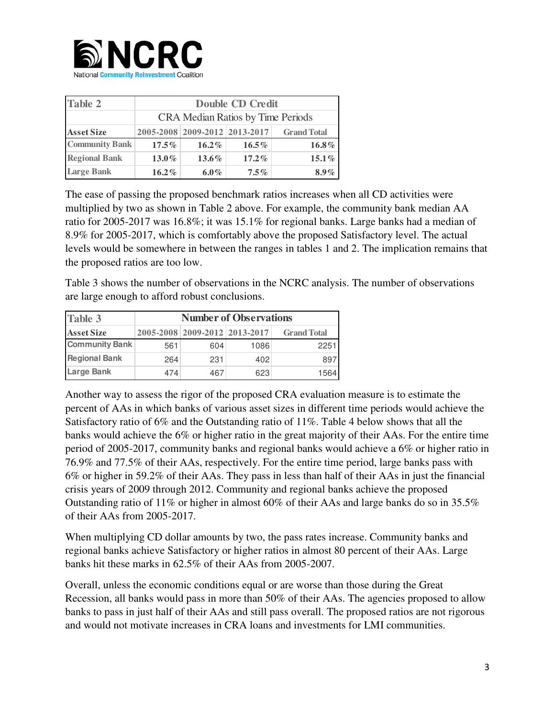

| <b>Table 2</b>        | <b>Double CD Credit</b>                  |                               |          |                    |
|-----------------------|------------------------------------------|-------------------------------|----------|--------------------|
|                       | <b>CRA Median Ratios by Time Periods</b> |                               |          |                    |
| <b>Asset Size</b>     |                                          | 2005-2008 2009-2012 2013-2017 |          | <b>Grand Total</b> |
| <b>Community Bank</b> | $17.5\%$                                 | $16.2\%$                      | $16.5\%$ | 16.8%              |
| <b>Regional Bank</b>  | $13.0\%$                                 | $13.6\%$                      | $17.2\%$ | $15.1\%$           |
| <b>Large Bank</b>     | $16.2\%$                                 | $6.0\%$                       | $7.5\%$  | $8.9\%$            |

The ease of passing the proposed benchmark ratios increases when all CD activities were multiplied by two as shown in Table 2 above. For example, the community bank median AA ratio for 2005-2017 was 16.8%; it was 15.1% for regional banks. Large banks had a median of 8.9% for 2005-2017, which is comfortably above the proposed Satisfactory level. The actual levels would be somewhere in between the ranges in tables 1 and 2. The implication remains that the proposed ratios are too low.

Table 3 shows the number of observations in the NCRC analysis. The number of observations are large enough to afford robust conclusions.

| Table 3               | <b>Number of Observations</b> |     |                               |                    |
|-----------------------|-------------------------------|-----|-------------------------------|--------------------|
| <b>Asset Size</b>     |                               |     | 2005-2008 2009-2012 2013-2017 | <b>Grand Total</b> |
| <b>Community Bank</b> | 561                           | 604 | 1086                          | 2251               |
| <b>Regional Bank</b>  | 264                           | 231 | 402                           | 897                |
| <b>Large Bank</b>     | 474                           | 467 | 623                           | 1564               |

Another way to assess the rigor of the proposed CRA evaluation measure is to estimate the percent of AAs in which banks of various asset sizes in different time periods would achieve the Satisfactory ratio of 6% and the Outstanding ratio of 11%. Table 4 below shows that all the banks would achieve the 6% or higher ratio in the great majority of their AAs. For the entire time period of 2005-2017, community banks and regional banks would achieve a 6% or higher ratio in 76.9% and 77.5% of their AAs, respectively. For the entire time period, large banks pass with 6% or higher in 59.2% of their AAs. They pass in less than half of their AAs in just the financial crisis years of 2009 through 2012. Community and regional banks achieve the proposed Outstanding ratio of 11% or higher in almost 60% of their AAs and large banks do so in 35.5% of their AAs from 2005-2017.

When multiplying CD dollar amounts by two, the pass rates increase. Community banks and regional banks achieve Satisfactory or higher ratios in almost 80 percent of their AAs. Large banks hit these marks in 62.5% of their AAs from 2005-2007.

Overall, unless the economic conditions equal or are worse than those during the Great Recession, all banks would pass in more than 50% of their AAs. The agencies proposed to allow banks to pass in just half of their AAs and still pass overall. The proposed ratios are not rigorous and would not motivate increases in CRA loans and investments for LMI communities.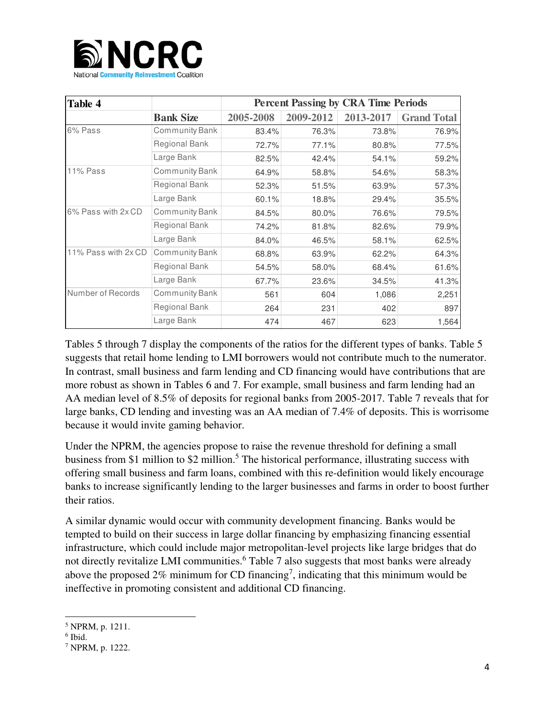

| Table 4             |                       |           |           | <b>Percent Passing by CRA Time Periods</b> |                    |
|---------------------|-----------------------|-----------|-----------|--------------------------------------------|--------------------|
|                     | <b>Bank Size</b>      | 2005-2008 | 2009-2012 | 2013-2017                                  | <b>Grand Total</b> |
| 6% Pass             | <b>Community Bank</b> | 83.4%     | 76.3%     | 73.8%                                      | 76.9%              |
|                     | <b>Regional Bank</b>  | 72.7%     | 77.1%     | 80.8%                                      | 77.5%              |
|                     | Large Bank            | 82.5%     | 42.4%     | 54.1%                                      | 59.2%              |
| <b>11% Pass</b>     | Community Bank        | 64.9%     | 58.8%     | 54.6%                                      | 58.3%              |
|                     | Regional Bank         | 52.3%     | 51.5%     | 63.9%                                      | 57.3%              |
|                     | Large Bank            | 60.1%     | 18.8%     | 29.4%                                      | 35.5%              |
| 6% Pass with 2x CD  | <b>Community Bank</b> | 84.5%     | 80.0%     | 76.6%                                      | 79.5%              |
|                     | Regional Bank         | 74.2%     | 81.8%     | 82.6%                                      | 79.9%              |
|                     | Large Bank            | 84.0%     | 46.5%     | 58.1%                                      | 62.5%              |
| 11% Pass with 2x CD | <b>Community Bank</b> | 68.8%     | 63.9%     | 62.2%                                      | 64.3%              |
|                     | Regional Bank         | 54.5%     | 58.0%     | 68.4%                                      | 61.6%              |
|                     | Large Bank            | 67.7%     | 23.6%     | 34.5%                                      | 41.3%              |
| Number of Records   | <b>Community Bank</b> | 561       | 604       | 1,086                                      | 2,251              |
|                     | <b>Regional Bank</b>  | 264       | 231       | 402                                        | 897                |
|                     | Large Bank            | 474       | 467       | 623                                        | 1,564              |

Tables 5 through 7 display the components of the ratios for the different types of banks. Table 5 suggests that retail home lending to LMI borrowers would not contribute much to the numerator. In contrast, small business and farm lending and CD financing would have contributions that are more robust as shown in Tables 6 and 7. For example, small business and farm lending had an AA median level of 8.5% of deposits for regional banks from 2005-2017. Table 7 reveals that for large banks, CD lending and investing was an AA median of 7.4% of deposits. This is worrisome because it would invite gaming behavior.

Under the NPRM, the agencies propose to raise the revenue threshold for defining a small business from \$1 million to \$2 million.<sup>5</sup> The historical performance, illustrating success with offering small business and farm loans, combined with this re-definition would likely encourage banks to increase significantly lending to the larger businesses and farms in order to boost further their ratios.

A similar dynamic would occur with community development financing. Banks would be tempted to build on their success in large dollar financing by emphasizing financing essential infrastructure, which could include major metropolitan-level projects like large bridges that do not directly revitalize LMI communities.<sup>6</sup> Table 7 also suggests that most banks were already above the proposed 2% minimum for CD financing<sup>7</sup>, indicating that this minimum would be ineffective in promoting consistent and additional CD financing.

l

<sup>5</sup> NPRM, p. 1211.

<sup>6</sup> Ibid.

<sup>7</sup> NPRM, p. 1222.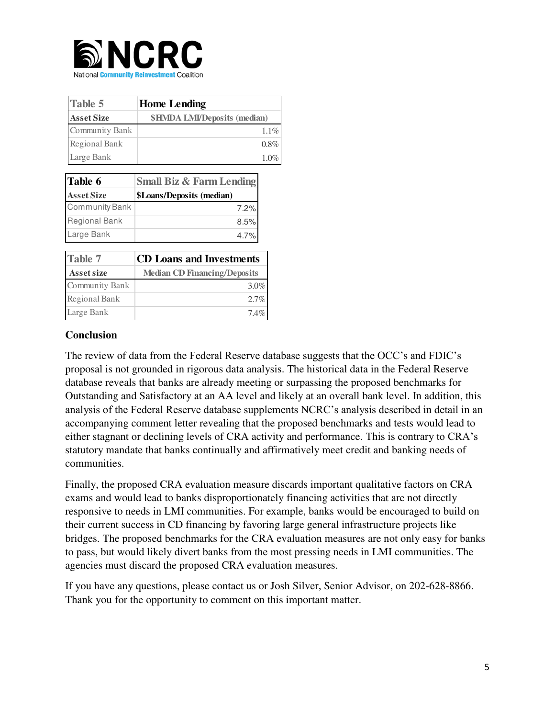

| Table 5           | <b>Home Lending</b>                 |
|-------------------|-------------------------------------|
| <b>Asset Size</b> | <b>\$HMDA LMI/Deposits (median)</b> |
| Community Bank    | $1.1\%$                             |
| Regional Bank     | $0.8\%$                             |
| Large Bank        | 1.0%                                |

| Table 6               | <b>Small Biz &amp; Farm Lending</b> |
|-----------------------|-------------------------------------|
| <b>Asset Size</b>     | \$Loans/Deposits (median)           |
| <b>Community Bank</b> | 7.2%                                |
| <b>Regional Bank</b>  | 8.5%                                |
| Large Bank            | 4.7%                                |

| <b>Table 7</b>    | <b>CD Loans and Investments</b>     |  |  |
|-------------------|-------------------------------------|--|--|
| <b>Asset size</b> | <b>Median CD Financing/Deposits</b> |  |  |
| Community Bank    | $3.0\%$                             |  |  |
| Regional Bank     | $2.7\%$                             |  |  |
| Large Bank        | 74%                                 |  |  |

## **Conclusion**

The review of data from the Federal Reserve database suggests that the OCC's and FDIC's proposal is not grounded in rigorous data analysis. The historical data in the Federal Reserve database reveals that banks are already meeting or surpassing the proposed benchmarks for Outstanding and Satisfactory at an AA level and likely at an overall bank level. In addition, this analysis of the Federal Reserve database supplements NCRC's analysis described in detail in an accompanying comment letter revealing that the proposed benchmarks and tests would lead to either stagnant or declining levels of CRA activity and performance. This is contrary to CRA's statutory mandate that banks continually and affirmatively meet credit and banking needs of communities.

Finally, the proposed CRA evaluation measure discards important qualitative factors on CRA exams and would lead to banks disproportionately financing activities that are not directly responsive to needs in LMI communities. For example, banks would be encouraged to build on their current success in CD financing by favoring large general infrastructure projects like bridges. The proposed benchmarks for the CRA evaluation measures are not only easy for banks to pass, but would likely divert banks from the most pressing needs in LMI communities. The agencies must discard the proposed CRA evaluation measures.

If you have any questions, please contact us or Josh Silver, Senior Advisor, on 202-628-8866. Thank you for the opportunity to comment on this important matter.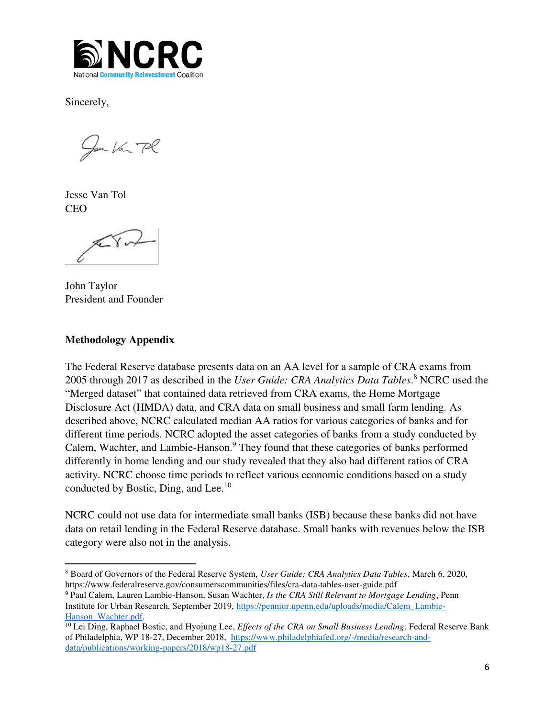

Sincerely,

You Van Pl

Jesse Van Tol CEO

 $\sqrt{11}$ 

John Taylor President and Founder

## **Methodology Appendix**

 $\overline{a}$ 

The Federal Reserve database presents data on an AA level for a sample of CRA exams from 2005 through 2017 as described in the *User Guide: CRA Analytics Data Tables*. 8 NCRC used the "Merged dataset" that contained data retrieved from CRA exams, the Home Mortgage Disclosure Act (HMDA) data, and CRA data on small business and small farm lending. As described above, NCRC calculated median AA ratios for various categories of banks and for different time periods. NCRC adopted the asset categories of banks from a study conducted by Calem, Wachter, and Lambie-Hanson.<sup>9</sup> They found that these categories of banks performed differently in home lending and our study revealed that they also had different ratios of CRA activity. NCRC choose time periods to reflect various economic conditions based on a study conducted by Bostic, Ding, and Lee.<sup>10</sup>

NCRC could not use data for intermediate small banks (ISB) because these banks did not have data on retail lending in the Federal Reserve database. Small banks with revenues below the ISB category were also not in the analysis.

<sup>8</sup> Board of Governors of the Federal Reserve System, *User Guide: CRA Analytics Data Tables*, March 6, 2020, https://www.federalreserve.gov/consumerscommunities/files/cra-data-tables-user-guide.pdf

<sup>9</sup> Paul Calem, Lauren Lambie-Hanson, Susan Wachter, *Is the CRA Still Relevant to Mortgage Lending*, Penn Institute for Urban Research, September 2019, [https://penniur.upenn.edu/uploads/media/Calem\\_Lambie-](https://penniur.upenn.edu/uploads/media/Calem_Lambie-Hanson_Wachter.pdf)[Hanson\\_Wachter.pdf.](https://penniur.upenn.edu/uploads/media/Calem_Lambie-Hanson_Wachter.pdf)

<sup>10</sup> Lei Ding, Raphael Bostic, and Hyojung Lee, *Effects of the CRA on Small Business Lending*, Federal Reserve Bank of Philadelphia, WP 18-27, December 2018, [https://www.philadelphiafed.org/-/media/research-and](https://www.philadelphiafed.org/-/media/research-and-data/publications/working-papers/2018/wp18-27.pdf)[data/publications/working-papers/2018/wp18-27.pdf](https://www.philadelphiafed.org/-/media/research-and-data/publications/working-papers/2018/wp18-27.pdf)